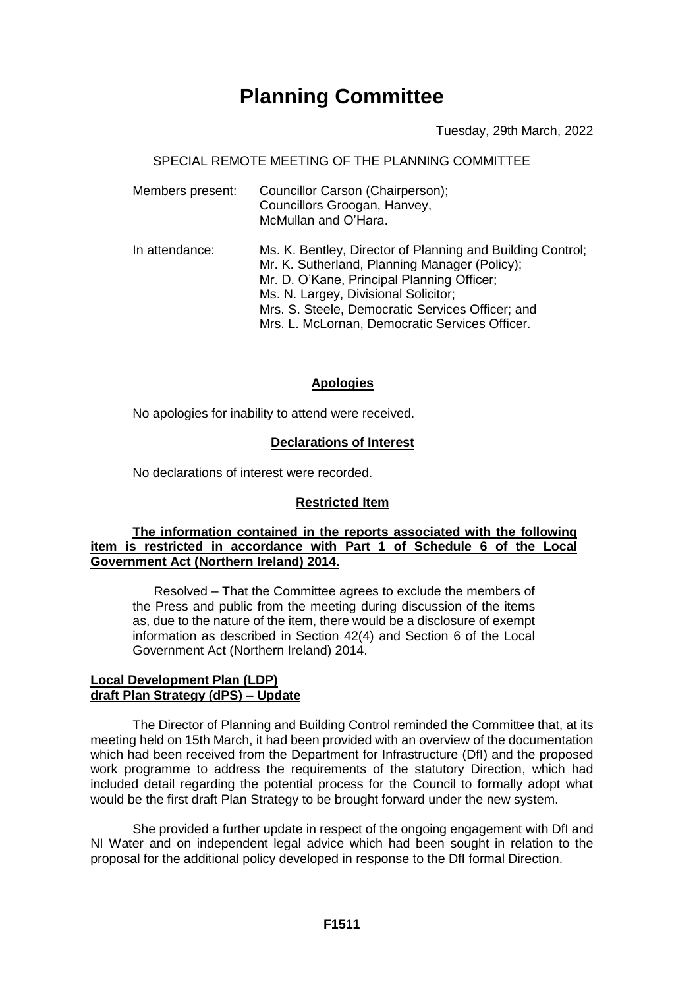# **Planning Committee**

Tuesday, 29th March, 2022

## SPECIAL REMOTE MEETING OF THE PLANNING COMMITTEE

| Members present: | Councillor Carson (Chairperson);<br>Councillors Groogan, Hanvey,<br>McMullan and O'Hara.                                                                                                                                                                                                                |
|------------------|---------------------------------------------------------------------------------------------------------------------------------------------------------------------------------------------------------------------------------------------------------------------------------------------------------|
| In attendance:   | Ms. K. Bentley, Director of Planning and Building Control;<br>Mr. K. Sutherland, Planning Manager (Policy);<br>Mr. D. O'Kane, Principal Planning Officer;<br>Ms. N. Largey, Divisional Solicitor;<br>Mrs. S. Steele, Democratic Services Officer; and<br>Mrs. L. McLornan, Democratic Services Officer. |

## **Apologies**

No apologies for inability to attend were received.

## **Declarations of Interest**

No declarations of interest were recorded.

## **Restricted Item**

## **The information contained in the reports associated with the following item is restricted in accordance with Part 1 of Schedule 6 of the Local Government Act (Northern Ireland) 2014.**

Resolved – That the Committee agrees to exclude the members of the Press and public from the meeting during discussion of the items as, due to the nature of the item, there would be a disclosure of exempt information as described in Section 42(4) and Section 6 of the Local Government Act (Northern Ireland) 2014.

## **Local Development Plan (LDP) draft Plan Strategy (dPS) – Update**

The Director of Planning and Building Control reminded the Committee that, at its meeting held on 15th March, it had been provided with an overview of the documentation which had been received from the Department for Infrastructure (DfI) and the proposed work programme to address the requirements of the statutory Direction, which had included detail regarding the potential process for the Council to formally adopt what would be the first draft Plan Strategy to be brought forward under the new system.

She provided a further update in respect of the ongoing engagement with DfI and NI Water and on independent legal advice which had been sought in relation to the proposal for the additional policy developed in response to the DfI formal Direction.